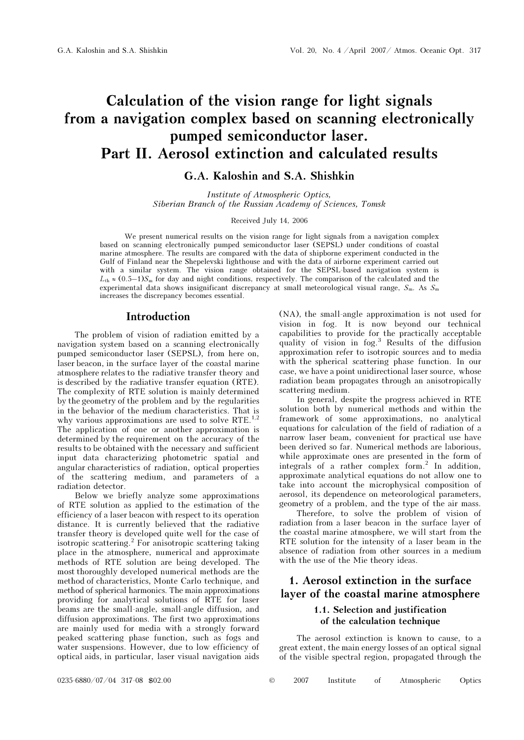# Calculation of the vision range for light signals from a navigation complex based on scanning electronically pumped semiconductor laser. Part II. Aerosol extinction and calculated results

## G.A. Kaloshin and S.A. Shishkin

Institute of Atmospheric Optics, Siberian Branch of the Russian Academy of Sciences, Tomsk

#### Received July 14, 2006

We present numerical results on the vision range for light signals from a navigation complex based on scanning electronically pumped semiconductor laser (SEPSL) under conditions of coastal marine atmosphere. The results are compared with the data of shipborne experiment conducted in the Gulf of Finland near the Shepelevski lighthouse and with the data of airborne experiment carried out with a similar system. The vision range obtained for the SEPSL-based navigation system is  $L_{th} \approx (0.5-1)S_m$  for day and night conditions, respectively. The comparison of the calculated and the experimental data shows insignificant discrepancy at small meteorological visual range,  $S_m$ . As  $S_m$ increases the discrepancy becomes essential.

#### Introduction

The problem of vision of radiation emitted by a navigation system based on a scanning electronically pumped semiconductor laser (SEPSL), from here on, laser beacon, in the surface layer of the coastal marine atmosphere relates to the radiative transfer theory and is described by the radiative transfer equation (RTE). The complexity of RTE solution is mainly determined by the geometry of the problem and by the regularities in the behavior of the medium characteristics. That is why various approximations are used to solve RTE.<sup>1,2</sup> The application of one or another approximation is determined by the requirement on the accuracy of the results to be obtained with the necessary and sufficient input data characterizing photometric spatial and angular characteristics of radiation, optical properties of the scattering medium, and parameters of a radiation detector.

Below we briefly analyze some approximations of RTE solution as applied to the estimation of the efficiency of a laser beacon with respect to its operation distance. It is currently believed that the radiative transfer theory is developed quite well for the case of isotropic scattering.<sup>2</sup> For anisotropic scattering taking place in the atmosphere, numerical and approximate methods of RTE solution are being developed. The most thoroughly developed numerical methods are the method of characteristics, Monte Carlo technique, and method of spherical harmonics. The main approximations providing for analytical solutions of RTE for laser beams are the small-angle, small-angle diffusion, and diffusion approximations. The first two approximations are mainly used for media with a strongly forward peaked scattering phase function, such as fogs and water suspensions. However, due to low efficiency of optical aids, in particular, laser visual navigation aids

(NA), the small-angle approximation is not used for vision in fog. It is now beyond our technical capabilities to provide for the practically acceptable quality of vision in fog.<sup>3</sup> Results of the diffusion approximation refer to isotropic sources and to media with the spherical scattering phase function. In our case, we have a point unidirectional laser source, whose radiation beam propagates through an anisotropically scattering medium.

In general, despite the progress achieved in RTE solution both by numerical methods and within the framework of some approximations, no analytical equations for calculation of the field of radiation of a narrow laser beam, convenient for practical use have been derived so far. Numerical methods are laborious, while approximate ones are presented in the form of integrals of a rather complex form.<sup>2</sup> In addition, approximate analytical equations do not allow one to take into account the microphysical composition of aerosol, its dependence on meteorological parameters, geometry of a problem, and the type of the air mass.

 Therefore, to solve the problem of vision of radiation from a laser beacon in the surface layer of the coastal marine atmosphere, we will start from the RTE solution for the intensity of a laser beam in the absence of radiation from other sources in a medium with the use of the Mie theory ideas.

## 1. Aerosol extinction in the surface layer of the coastal marine atmosphere

#### 1.1. Selection and justification of the calculation technique

The aerosol extinction is known to cause, to a great extent, the main energy losses of an optical signal of the visible spectral region, propagated through the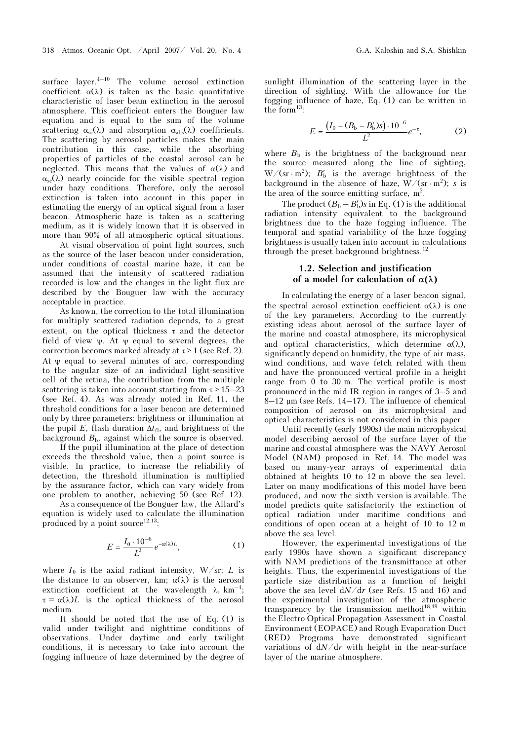surface layer. $4-10$  The volume aerosol extinction coefficient  $\alpha(\lambda)$  is taken as the basic quantitative characteristic of laser beam extinction in the aerosol atmosphere. This coefficient enters the Bouguer law equation and is equal to the sum of the volume scattering  $\alpha_{sc}(\lambda)$  and absorption  $\alpha_{abs}(\lambda)$  coefficients. The scattering by aerosol particles makes the main contribution in this case, while the absorbing properties of particles of the coastal aerosol can be neglected. This means that the values of  $\alpha(\lambda)$  and  $\alpha_{\rm sc}(\lambda)$  nearly coincide for the visible spectral region under hazy conditions. Therefore, only the aerosol extinction is taken into account in this paper in estimating the energy of an optical signal from a laser beacon. Atmospheric haze is taken as a scattering medium, as it is widely known that it is observed in more than 90% of all atmospheric optical situations.

 At visual observation of point light sources, such as the source of the laser beacon under consideration, under conditions of coastal marine haze, it can be assumed that the intensity of scattered radiation recorded is low and the changes in the light flux are described by the Bouguer law with the accuracy acceptable in practice.

As known, the correction to the total illumination for multiply scattered radiation depends, to a great extent, on the optical thickness  $\tau$  and the detector field of view  $\psi$ . At  $\psi$  equal to several degrees, the correction becomes marked already at  $\tau \geq 1$  (see Ref. 2). At  $\psi$  equal to several minutes of arc, corresponding to the angular size of an individual light-sensitive cell of the retina, the contribution from the multiple scattering is taken into account starting from  $\tau \ge 15-23$ (see Ref. 4). As was already noted in Ref. 11, the threshold conditions for a laser beacon are determined only by three parameters: brightness or illumination at the pupil E, flash duration  $\Delta t_{\text{fl}}$ , and brightness of the background  $B<sub>b</sub>$ , against which the source is observed.

 If the pupil illumination at the place of detection exceeds the threshold value, then a point source is visible. In practice, to increase the reliability of detection, the threshold illumination is multiplied by the assurance factor, which can vary widely from one problem to another, achieving 50 (see Ref. 12).

 As a consequence of the Bouguer law, the Allard's equation is widely used to calculate the illumination produced by a point source<sup>12,13</sup>:

$$
E = \frac{I_0 \cdot 10^{-6}}{L^2} e^{-\alpha(\lambda)L},
$$
 (1)

where  $I_0$  is the axial radiant intensity, W/sr; L is the distance to an observer, km;  $\alpha(\lambda)$  is the aerosol extinction coefficient at the wavelength  $\lambda$ , km<sup>-1</sup>;  $\tau = \alpha(\lambda)L$  is the optical thickness of the aerosol medium.

It should be noted that the use of Eq. (1) is valid under twilight and nighttime conditions of observations. Under daytime and early twilight conditions, it is necessary to take into account the fogging influence of haze determined by the degree of sunlight illumination of the scattering layer in the direction of sighting. With the allowance for the fogging influence of haze, Eq. (1) can be written in the form $^{13}$ :

$$
E = \frac{(I_0 - (B_b - B'_b)s) \cdot 10^{-6}}{L^2} e^{-\tau},
$$
 (2)

where  $B<sub>b</sub>$  is the brightness of the background near the source measured along the line of sighting, W/(sr · m<sup>2</sup>);  $B'_b$  is the average brightness of the background in the absence of haze,  $W/(sr \cdot m^2)$ ; s is the area of the source emitting surface,  $m^2$ .

The product  $(B_b - B'_b)s$  in Eq. (1) is the additional radiation intensity equivalent to the background brightness due to the haze fogging influence. The temporal and spatial variability of the haze fogging brightness is usually taken into account in calculations through the preset background brightness.<sup>12</sup>

#### 1.2. Selection and justification of a model for calculation of  $\alpha(\lambda)$

In calculating the energy of a laser beacon signal, the spectral aerosol extinction coefficient  $\alpha(\lambda)$  is one of the key parameters. According to the currently existing ideas about aerosol of the surface layer of the marine and coastal atmosphere, its microphysical and optical characteristics, which determine  $\alpha(\lambda)$ , significantly depend on humidity, the type of air mass, wind conditions, and wave fetch related with them and have the pronounced vertical profile in a height range from 0 to 30 m. The vertical profile is most pronounced in the mid-IR region in ranges of 3–5 and  $8-12 \mu m$  (see Refs. 14–17). The influence of chemical composition of aerosol on its microphysical and optical characteristics is not considered in this paper.

Until recently (early 1990s) the main microphysical model describing aerosol of the surface layer of the marine and coastal atmosphere was the NAVY Aerosol Model (NAM) proposed in Ref. 14. The model was based on many-year arrays of experimental data obtained at heights 10 to 12 m above the sea level. Later on many modifications of this model have been produced, and now the sixth version is available. The model predicts quite satisfactorily the extinction of optical radiation under maritime conditions and conditions of open ocean at a height of 10 to 12 m above the sea level.

However, the experimental investigations of the early 1990s have shown a significant discrepancy with NAM predictions of the transmittance at other heights. Thus, the experimental investigations of the particle size distribution as a function of height above the sea level  $dN/dr$  (see Refs. 15 and 16) and the experimental investigation of the atmospheric transparency by the transmission method<sup>18,19</sup> within the Electro Optical Propagation Assessment in Coastal Environment (EOPACE) and Rough Evaporation Duct (RED) Programs have demonstrated significant variations of  $dN/dr$  with height in the near-surface layer of the marine atmosphere.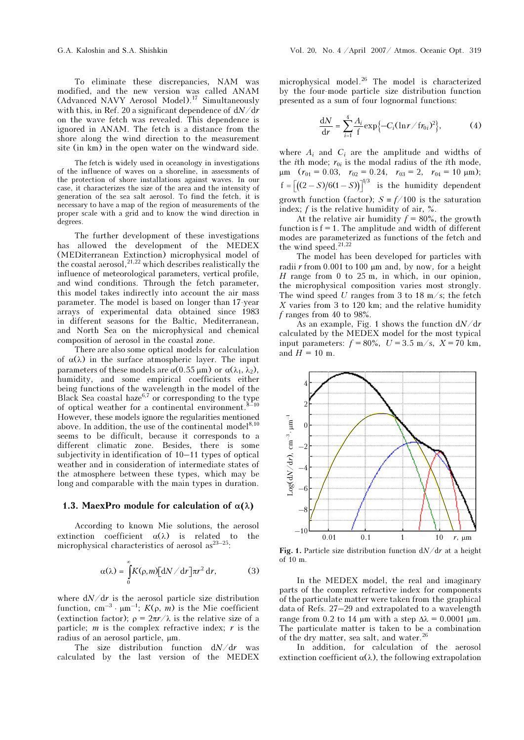To eliminate these discrepancies, NAM was modified, and the new version was called ANAM (Advanced NAVY Aerosol Model).<sup>17</sup> Simultaneously with this, in Ref. 20 a significant dependence of  $dN/dr$ on the wave fetch was revealed. This dependence is ignored in ANAM. The fetch is a distance from the shore along the wind direction to the measurement site (in km) in the open water on the windward side.

The fetch is widely used in oceanology in investigations of the influence of waves on a shoreline, in assessments of the protection of shore installations against waves. In our case, it characterizes the size of the area and the intensity of generation of the sea salt aerosol. To find the fetch, it is necessary to have a map of the region of measurements of the proper scale with a grid and to know the wind direction in degrees.

The further development of these investigations has allowed the development of the MEDEX (MEDiterranean Extinction) microphysical model of the coastal aerosol, $^{21,22}$  which describes realistically the influence of meteorological parameters, vertical profile, and wind conditions. Through the fetch parameter, this model takes indirectly into account the air mass parameter. The model is based on longer than 17-year arrays of experimental data obtained since 1983 in different seasons for the Baltic, Mediterranean, and North Sea on the microphysical and chemical composition of aerosol in the coastal zone.

There are also some optical models for calculation of  $\alpha(\lambda)$  in the surface atmospheric layer. The input parameters of these models are  $\alpha(0.55 \,\mu\text{m})$  or  $\alpha(\lambda_1, \lambda_2)$ , humidity, and some empirical coefficients either being functions of the wavelength in the model of the Black Sea coastal haze<sup>6,7</sup> or corresponding to the type of optical weather for a continental environment. $8-10$ However, these models ignore the regularities mentioned above. In addition, the use of the continental model<sup>8,10</sup> seems to be difficult, because it corresponds to a different climatic zone. Besides, there is some subjectivity in identification of 10–11 types of optical weather and in consideration of intermediate states of the atmosphere between these types, which may be long and comparable with the main types in duration.

#### 1.3. MaexPro module for calculation of  $\alpha(\lambda)$

According to known Mie solutions, the aerosol extinction coefficient  $\alpha(\lambda)$  is related to the microphysical characteristics of aerosol  $as^{23-25}$ :

$$
\alpha(\lambda) = \int_{0}^{\infty} K(\rho, m) [dN/dr] \pi r^2 dr, \qquad (3)
$$

where  $dN/dr$  is the aerosol particle size distribution function, cm<sup>-3</sup> ⋅  $\mu$ m<sup>-1</sup>;  $K(\rho, m)$  is the Mie coefficient (extinction factor);  $\rho = 2\pi r/\lambda$  is the relative size of a particle;  $m$  is the complex refractive index;  $r$  is the radius of an aerosol particle, μm.

The size distribution function  $dN/dr$  was calculated by the last version of the MEDEX

microphysical model.<sup>26</sup> The model is characterized by the four-mode particle size distribution function presented as a sum of four lognormal functions:

$$
\frac{dN}{dr} = \sum_{i=1}^{4} \frac{A_i}{f} \exp\{-C_i(\ln r / f r_{0i})^2\},
$$
 (4)

where  $A_i$  and  $C_i$  are the amplitude and widths of the *i*th mode;  $r_{0i}$  is the modal radius of the *i*th mode,  $\mu$ m ( $r_{01} = 0.03$ ,  $r_{02} = 0.24$ ,  $r_{03} = 2$ ,  $r_{04} = 10 \mu$ m);  $f = \left[ \left( \frac{(2 - S)}{6(1 - S)} \right) \right]^{1/3}$  is the humidity dependent growth function (factor);  $S = f/100$  is the saturation index;  $f$  is the relative humidity of air,  $\%$ .

At the relative air humidity  $f = 80\%$ , the growth function is  $f = 1$ . The amplitude and width of different modes are parameterized as functions of the fetch and the wind speed. $21,22$ 

The model has been developed for particles with radii r from 0.001 to 100  $\mu$ m and, by now, for a height  $H$  range from 0 to 25 m, in which, in our opinion, the microphysical composition varies most strongly. The wind speed U ranges from 3 to 18 m/s; the fetch X varies from 3 to 120 km; and the relative humidity f ranges from 40 to 98%.

As an example, Fig. 1 shows the function  $dN/dr$ calculated by the MEDEX model for the most typical input parameters:  $f = 80\%$ ,  $U = 3.5$  m/s,  $X = 70$  km, and  $H = 10$  m.



Fig. 1. Particle size distribution function  $dN/dr$  at a height of 10 m.

In the MEDEX model, the real and imaginary parts of the complex refractive index for components of the particulate matter were taken from the graphical data of Refs. 27–29 and extrapolated to a wavelength range from 0.2 to 14 μm with a step  $Δλ = 0.0001$  μm. The particulate matter is taken to be a combination of the dry matter, sea salt, and water.<sup>26</sup>

In addition, for calculation of the aerosol extinction coefficient  $\alpha(\lambda)$ , the following extrapolation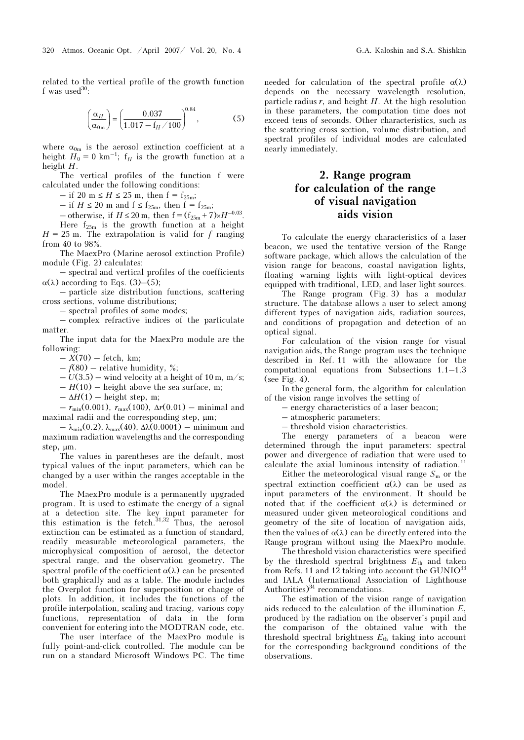related to the vertical profile of the growth function f was used $30$ :

$$
\left(\frac{\alpha_H}{\alpha_{0m}}\right) = \left(\frac{0.037}{1.017 - f_H / 100}\right)^{0.84},\tag{5}
$$

where  $\alpha_{0m}$  is the aerosol extinction coefficient at a height  $H_0 = 0 \text{ km}^{-1}$ ;  $f_H$  is the growth function at a height  $H$ .

The vertical profiles of the function f were calculated under the following conditions:

 $-$  if 20 m ≤ H ≤ 25 m, then f = f<sub>25m</sub>;

– if  $H \le 20$  m and  $f \le f_{25m}$ , then  $f = f_{25m}$ ;

– otherwise, if  $H \le 20$  m, then  $f = (f_{25m} + 7) \times H^{-0.03}$ .

Here  $f_{25m}$  is the growth function at a height  $H = 25$  m. The extrapolation is valid for f ranging from 40 to 98%.

The MaexPro (Marine aerosol extinction Profile) module (Fig. 2) calculates:

– spectral and vertical profiles of the coefficients α(λ) according to Eqs. (3)–(5);

– particle size distribution functions, scattering cross sections, volume distributions;

– spectral profiles of some modes;

– complex refractive indices of the particulate matter.

The input data for the MaexPro module are the following:

 $-X(70)$  – fetch, km;

 $- f(80)$  – relative humidity, %;

 $- U(3.5) -$  wind velocity at a height of 10 m, m/s;

 $-H(10)$  – height above the sea surface, m;

 $-\Delta H(1)$  – height step, m;

 $- r_{\text{min}}(0.001), r_{\text{max}}(100), \Delta r(0.01) - \text{minimal}$  and maximal radii and the corresponding step, μm;

 $-\lambda_{\min}(0.2)$ ,  $\lambda_{\max}(40)$ ,  $\Delta\lambda(0.0001)$  – minimum and maximum radiation wavelengths and the corresponding step, μm.

The values in parentheses are the default, most typical values of the input parameters, which can be changed by a user within the ranges acceptable in the model.

The MaexPro module is a permanently upgraded program. It is used to estimate the energy of a signal at a detection site. The key input parameter for this estimation is the fetch. $31,32$  Thus, the aerosol extinction can be estimated as a function of standard, readily measurable meteorological parameters, the microphysical composition of aerosol, the detector spectral range, and the observation geometry. The spectral profile of the coefficient  $\alpha(\lambda)$  can be presented both graphically and as a table. The module includes the Overplot function for superposition or change of plots. In addition, it includes the functions of the profile interpolation, scaling and tracing, various copy functions, representation of data in the form convenient for entering into the MODTRAN code, etc.

 The user interface of the MaexPro module is fully point-and-click controlled. The module can be run on a standard Microsoft Windows PC. The time needed for calculation of the spectral profile  $\alpha(\lambda)$ depends on the necessary wavelength resolution, particle radius  $r$ , and height  $H$ . At the high resolution in these parameters, the computation time does not exceed tens of seconds. Other characteristics, such as the scattering cross section, volume distribution, and spectral profiles of individual modes are calculated nearly immediately.

# 2. Range program for calculation of the range of visual navigation aids vision

To calculate the energy characteristics of a laser beacon, we used the tentative version of the Range software package, which allows the calculation of the vision range for beacons, coastal navigation lights, floating warning lights with light-optical devices equipped with traditional, LED, and laser light sources.

 The Range program (Fig. 3) has a modular structure. The database allows a user to select among different types of navigation aids, radiation sources, and conditions of propagation and detection of an optical signal.

For calculation of the vision range for visual navigation aids, the Range program uses the technique described in Ref. 11 with the allowance for the computational equations from Subsections 1.1–1.3 (see Fig. 4).

In the general form, the algorithm for calculation of the vision range involves the setting of

– energy characteristics of a laser beacon;

– atmospheric parameters;

– threshold vision characteristics.

The energy parameters of a beacon were determined through the input parameters: spectral power and divergence of radiation that were used to calculate the axial luminous intensity of radiation.<sup>11</sup>

Either the meteorological visual range  $S<sub>m</sub>$  or the spectral extinction coefficient  $\alpha(\lambda)$  can be used as input parameters of the environment. It should be noted that if the coefficient  $\alpha(\lambda)$  is determined or measured under given meteorological conditions and geometry of the site of location of navigation aids, then the values of  $\alpha(\lambda)$  can be directly entered into the Range program without using the MaexPro module.

 The threshold vision characteristics were specified by the threshold spectral brightness  $E_{\text{th}}$  and taken from Refs. 11 and 12 taking into account the  $GUNIO^{33}$ and IALA (International Association of Lighthouse Authorities) $34$  recommendations.

The estimation of the vision range of navigation aids reduced to the calculation of the illumination E, produced by the radiation on the observer's pupil and the comparison of the obtained value with the threshold spectral brightness  $E_{th}$  taking into account for the corresponding background conditions of the observations.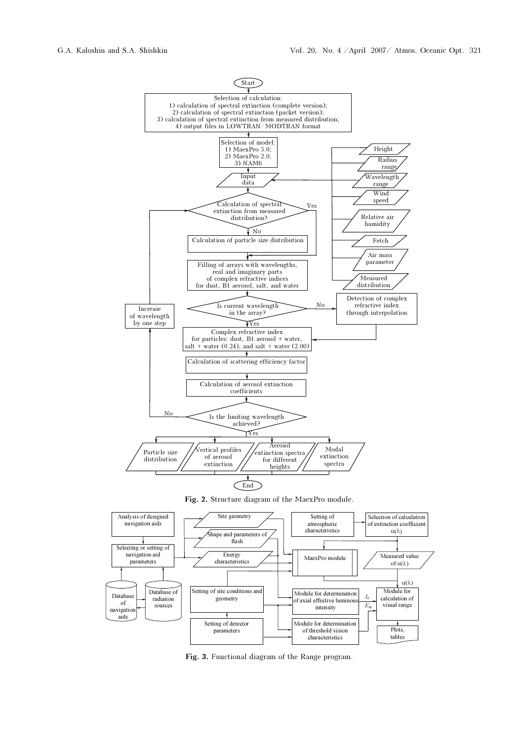

Fig. 3. Functional diagram of the Range program.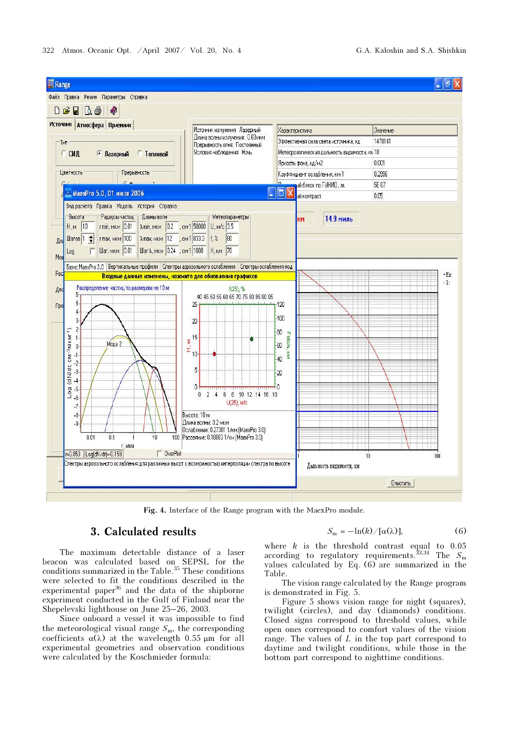

Fig. 4. Interface of the Range program with the MaexPro module.

## 3. Calculated results

The maximum detectable distance of a laser beacon was calculated based on SEPSL for the conditions summarized in the Table.<sup>35</sup> These conditions were selected to fit the conditions described in the experimental paper<sup>36</sup> and the data of the shipborne experiment conducted in the Gulf of Finland near the Shepelevski lighthouse on June 25–26, 2003.

Since onboard a vessel it was impossible to find the meteorological visual range  $S<sub>m</sub>$ , the corresponding coefficients  $\alpha(\lambda)$  at the wavelength 0.55  $\mu$ m for all experimental geometries and observation conditions were calculated by the Koschmieder formula:

$$
S_{\rm m} = -\ln(k) / [\alpha(\lambda)], \qquad (6)
$$

where  $k$  is the threshold contrast equal to 0.05 according to regulatory requirements.<sup>33,34</sup> The  $S_m$ values calculated by Eq. (6) are summarized in the Table.

The vision range calculated by the Range program is demonstrated in Fig. 5.

Figure 5 shows vision range for night (squares), twilight (circles), and day (diamonds) conditions. Closed signs correspond to threshold values, while open ones correspond to comfort values of the vision range. The values of  $L$  in the top part correspond to daytime and twilight conditions, while those in the bottom part correspond to nighttime conditions.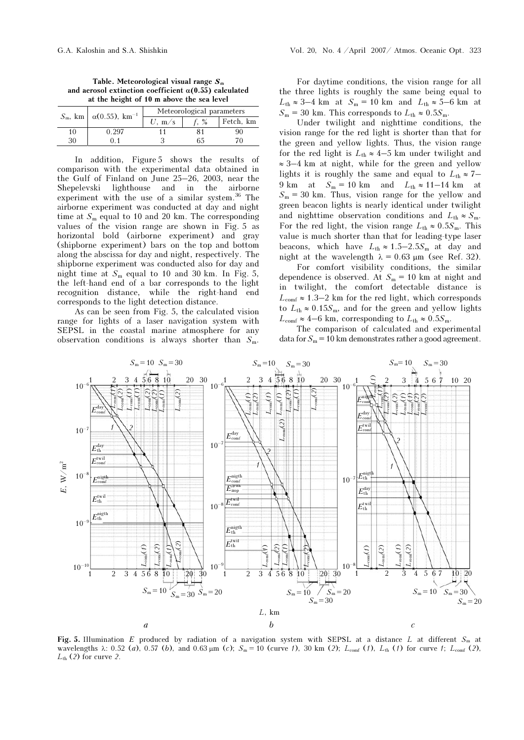|    | $S_m$ , km $\alpha$ (0.55), km <sup>-1</sup> | Meteorological parameters |      |           |
|----|----------------------------------------------|---------------------------|------|-----------|
|    |                                              | m/s                       | $\%$ | Fetch, km |
| 10 | l. 297                                       |                           |      |           |
|    |                                              |                           |      |           |

In addition, Figure 5 shows the results of comparison with the experimental data obtained in the Gulf of Finland on June 25–26, 2003, near the Shepelevski lighthouse and in the airborne experiment with the use of a similar system.<sup>36</sup> The airborne experiment was conducted at day and night time at  $S_m$  equal to 10 and 20 km. The corresponding values of the vision range are shown in Fig. 5 as horizontal bold (airborne experiment) and gray (shipborne experiment) bars on the top and bottom along the abscissa for day and night, respectively. The shipborne experiment was conducted also for day and night time at  $S_m$  equal to 10 and 30 km. In Fig. 5, the left-hand end of a bar corresponds to the light recognition distance, while the right-hand end corresponds to the light detection distance.

As can be seen from Fig. 5, the calculated vision range for lights of a laser navigation system with SEPSL in the coastal marine atmosphere for any observation conditions is always shorter than  $S_m$ .

For daytime conditions, the vision range for all the three lights is roughly the same being equal to  $L_{\text{th}} \approx 3-4$  km at  $S_{\text{m}} = 10$  km and  $L_{\text{th}} \approx 5-6$  km at  $S_m = 30$  km. This corresponds to  $L_{th} \approx 0.5 S_m$ .

Under twilight and nighttime conditions, the vision range for the red light is shorter than that for the green and yellow lights. Thus, the vision range for the red light is  $L_{th} \approx 4-5$  km under twilight and ≈ 3–4 km at night, while for the green and yellow lights it is roughly the same and equal to  $L_{th} \approx 7-$ 9 km at  $S_m = 10$  km and  $L_{th} \approx 11-14$  km at  $S_m = 30$  km. Thus, vision range for the yellow and green beacon lights is nearly identical under twilight and nighttime observation conditions and  $L_{th} \approx S_{\text{m}}$ . For the red light, the vision range  $L_{th} \approx 0.5 S_m$ . This value is much shorter than that for leading-type laser beacons, which have  $L_{th} \approx 1.5-2.5S_m$  at day and night at the wavelength  $λ = 0.63 \mu m$  (see Ref. 32).

 For comfort visibility conditions, the similar dependence is observed. At  $S_m = 10$  km at night and in twilight, the comfort detectable distance is  $L_{\text{conf}} \approx 1.3-2$  km for the red light, which corresponds to  $L_{th} \approx 0.15S_m$ , and for the green and yellow lights  $L_{\text{conf}} \approx 4-6$  km, corresponding to  $L_{\text{th}} \approx 0.5 S_{\text{m}}$ .

The comparison of calculated and experimental data for  $S_m = 10$  km demonstrates rather a good agreement.



Fig. 5. Illumination E produced by radiation of a navigation system with SEPSL at a distance L at different  $S_m$  at wavelengths  $\lambda$ : 0.52 (a), 0.57 (b), and 0.63  $\mu$ m (c);  $S_m = 10$  (curve 1), 30 km (2); L<sub>comf</sub> (1), L<sub>th</sub> (1) for curve 1; L<sub>comf</sub> (2),  $L_{th}$  (2) for curve 2.